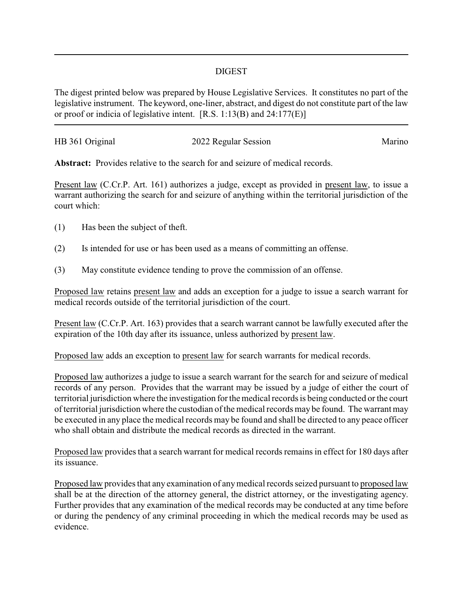## DIGEST

The digest printed below was prepared by House Legislative Services. It constitutes no part of the legislative instrument. The keyword, one-liner, abstract, and digest do not constitute part of the law or proof or indicia of legislative intent. [R.S. 1:13(B) and 24:177(E)]

| HB 361 Original | 2022 Regular Session | Marino |
|-----------------|----------------------|--------|
|                 |                      |        |

**Abstract:** Provides relative to the search for and seizure of medical records.

Present law (C.Cr.P. Art. 161) authorizes a judge, except as provided in present law, to issue a warrant authorizing the search for and seizure of anything within the territorial jurisdiction of the court which:

- (1) Has been the subject of theft.
- (2) Is intended for use or has been used as a means of committing an offense.
- (3) May constitute evidence tending to prove the commission of an offense.

Proposed law retains present law and adds an exception for a judge to issue a search warrant for medical records outside of the territorial jurisdiction of the court.

Present law (C.Cr.P. Art. 163) provides that a search warrant cannot be lawfully executed after the expiration of the 10th day after its issuance, unless authorized by present law.

Proposed law adds an exception to present law for search warrants for medical records.

Proposed law authorizes a judge to issue a search warrant for the search for and seizure of medical records of any person. Provides that the warrant may be issued by a judge of either the court of territorial jurisdiction where the investigation for the medical records is being conducted or the court of territorial jurisdiction where the custodian of the medical records may be found. The warrant may be executed in any place the medical records may be found and shall be directed to any peace officer who shall obtain and distribute the medical records as directed in the warrant.

Proposed law provides that a search warrant for medical records remains in effect for 180 days after its issuance.

Proposed law provides that any examination of anymedical records seized pursuant to proposed law shall be at the direction of the attorney general, the district attorney, or the investigating agency. Further provides that any examination of the medical records may be conducted at any time before or during the pendency of any criminal proceeding in which the medical records may be used as evidence.